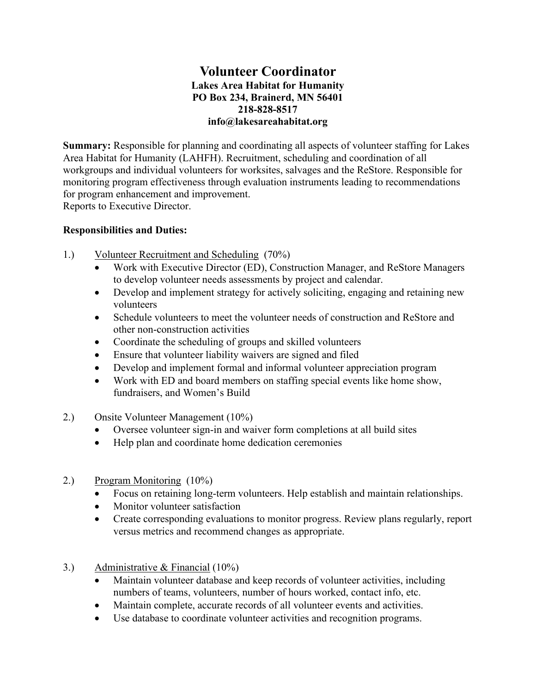## **Volunteer Coordinator Lakes Area Habitat for Humanity PO Box 234, Brainerd, MN 56401 218-828-8517 info@lakesareahabitat.org**

**Summary:** Responsible for planning and coordinating all aspects of volunteer staffing for Lakes Area Habitat for Humanity (LAHFH). Recruitment, scheduling and coordination of all workgroups and individual volunteers for worksites, salvages and the ReStore. Responsible for monitoring program effectiveness through evaluation instruments leading to recommendations for program enhancement and improvement.

Reports to Executive Director.

## **Responsibilities and Duties:**

- 1.) Volunteer Recruitment and Scheduling (70%)
	- Work with Executive Director (ED), Construction Manager, and ReStore Managers to develop volunteer needs assessments by project and calendar.
	- Develop and implement strategy for actively soliciting, engaging and retaining new volunteers
	- Schedule volunteers to meet the volunteer needs of construction and ReStore and other non-construction activities
	- Coordinate the scheduling of groups and skilled volunteers
	- Ensure that volunteer liability waivers are signed and filed
	- Develop and implement formal and informal volunteer appreciation program
	- Work with ED and board members on staffing special events like home show, fundraisers, and Women's Build
- 2.) Onsite Volunteer Management (10%)
	- Oversee volunteer sign-in and waiver form completions at all build sites
	- Help plan and coordinate home dedication ceremonies
- 2.) Program Monitoring (10%)
	- Focus on retaining long-term volunteers. Help establish and maintain relationships.
	- Monitor volunteer satisfaction
	- Create corresponding evaluations to monitor progress. Review plans regularly, report versus metrics and recommend changes as appropriate.
- 3.) Administrative & Financial (10%)
	- Maintain volunteer database and keep records of volunteer activities, including numbers of teams, volunteers, number of hours worked, contact info, etc.
	- Maintain complete, accurate records of all volunteer events and activities.
	- Use database to coordinate volunteer activities and recognition programs.